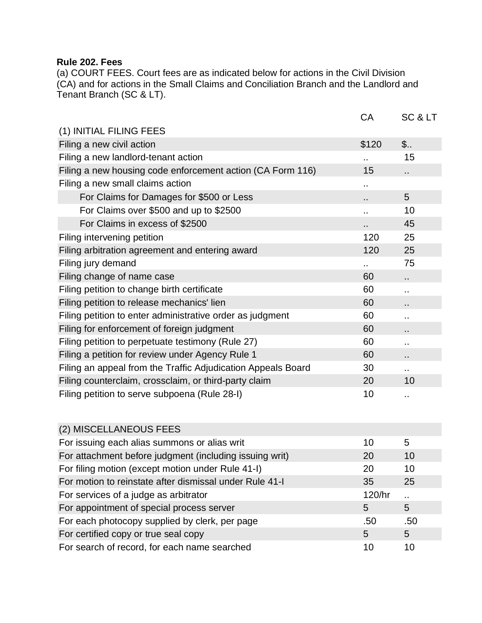## **Rule 202. Fees**

(a) COURT FEES. Court fees are as indicated below for actions in the Civil Division (CA) and for actions in the Small Claims and Conciliation Branch and the Landlord and Tenant Branch (SC & LT).

|                                                              | CA     | SC & LT     |
|--------------------------------------------------------------|--------|-------------|
| (1) INITIAL FILING FEES                                      |        |             |
| Filing a new civil action                                    | \$120  | $\ddotsc$ . |
| Filing a new landlord-tenant action                          |        | 15          |
| Filing a new housing code enforcement action (CA Form 116)   | 15     |             |
| Filing a new small claims action                             | ٠.     |             |
| For Claims for Damages for \$500 or Less                     | ٠.     | 5           |
| For Claims over \$500 and up to \$2500                       | ٠.     | 10          |
| For Claims in excess of \$2500                               | ٠.     | 45          |
| Filing intervening petition                                  | 120    | 25          |
| Filing arbitration agreement and entering award              | 120    | 25          |
| Filing jury demand                                           |        | 75          |
| Filing change of name case                                   | 60     | .,          |
| Filing petition to change birth certificate                  | 60     |             |
| Filing petition to release mechanics' lien                   | 60     | . .         |
| Filing petition to enter administrative order as judgment    | 60     | .,          |
| Filing for enforcement of foreign judgment                   | 60     | . .         |
| Filing petition to perpetuate testimony (Rule 27)            | 60     |             |
| Filing a petition for review under Agency Rule 1             | 60     | ٠.          |
| Filing an appeal from the Traffic Adjudication Appeals Board | 30     | ٠.          |
| Filing counterclaim, crossclaim, or third-party claim        | 20     | 10          |
| Filing petition to serve subpoena (Rule 28-I)                | 10     | $\sim$      |
|                                                              |        |             |
| (2) MISCELLANEOUS FEES                                       |        |             |
| For issuing each alias summons or alias writ                 | 10     | 5           |
| For attachment before judgment (including issuing writ)      | 20     | 10          |
| For filing motion (except motion under Rule 41-I)            | 20     | 10          |
| For motion to reinstate after dismissal under Rule 41-I      | 35     | 25          |
| For services of a judge as arbitrator                        | 120/hr |             |
| For appointment of special process server                    | 5      | 5           |
| For each photocopy supplied by clerk, per page               | .50    | .50         |
| For certified copy or true seal copy                         | 5      | 5           |
| For search of record, for each name searched                 | 10     | 10          |